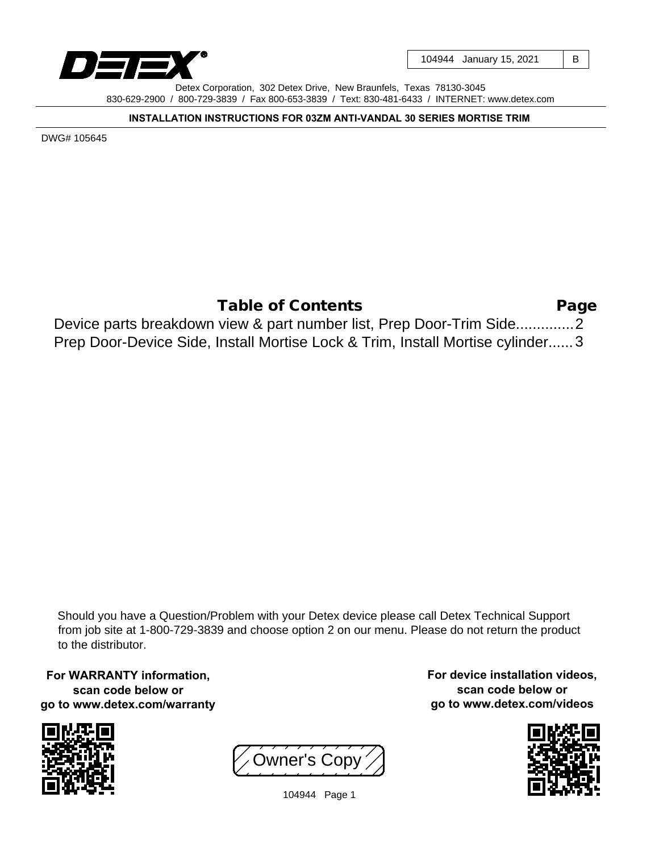

104944 January 15, 2021 | B

Detex Corporation, 302 Detex Drive, New Braunfels, Texas 78130-3045 830-629-2900 / 800-729-3839 / Fax 800-653-3839 / Text: 830-481-6433 / INTERNET: www.detex.com

**INSTALLATION INSTRUCTIONS FOR 03ZM ANTI-VANDAL 30 SERIES MORTISE TRIM**

DWG# 105645

Page 2 Device parts breakdown view & part number list, Prep Door-Trim Side.............. Prep Door-Device Side, Install Mortise Lock & Trim, Install Mortise cylinder......3 Table of Contents

Should you have a Question/Problem with your Detex device please call Detex Technical Support from job site at 1-800-729-3839 and choose option 2 on our menu. Please do not return the product to the distributor.

**For WARRANTY information, scan code below or go to www.detex.com/warranty**



Owner's Copy

**For device installation videos, scan code below or go to www.detex.com/videos**



104944 Page 1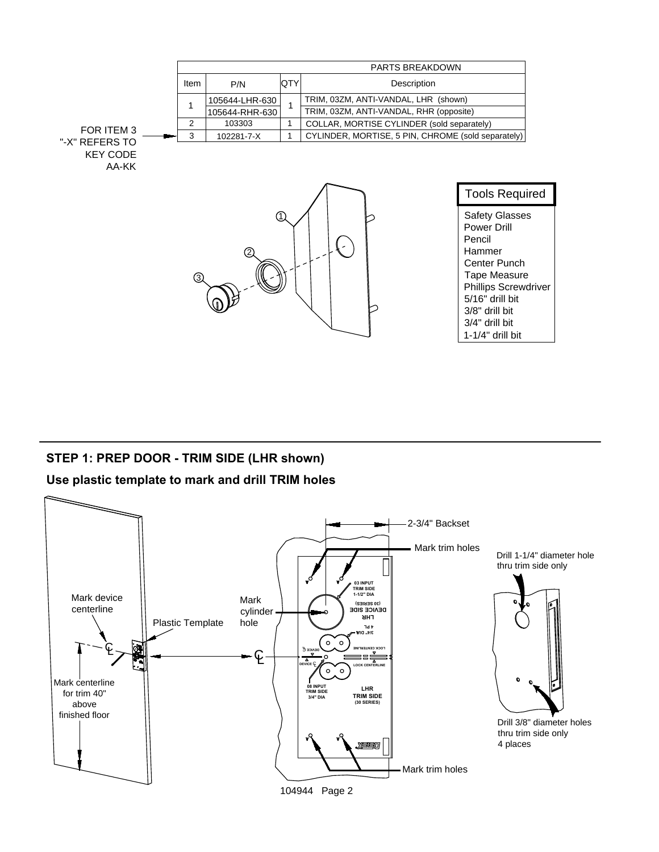

## **STEP 1: PREP DOOR - TRIM SIDE (LHR shown)**

## **Use plastic template to mark and drill TRIM holes**